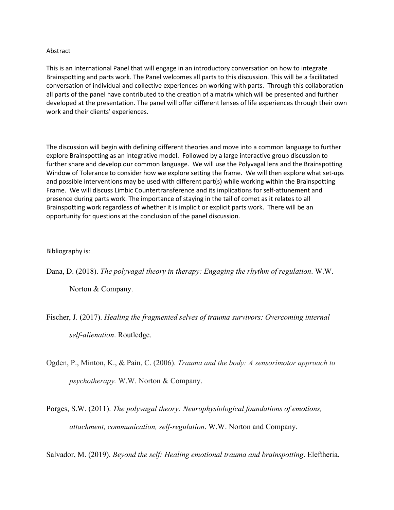## Abstract

This is an International Panel that will engage in an introductory conversation on how to integrate Brainspotting and parts work. The Panel welcomes all parts to this discussion. This will be a facilitated conversation of individual and collective experiences on working with parts. Through this collaboration all parts of the panel have contributed to the creation of a matrix which will be presented and further developed at the presentation. The panel will offer different lenses of life experiences through their own work and their clients' experiences.

The discussion will begin with defining different theories and move into a common language to further explore Brainspotting as an integrative model. Followed by a large interactive group discussion to further share and develop our common language. We will use the Polyvagal lens and the Brainspotting Window of Tolerance to consider how we explore setting the frame. We will then explore what set-ups and possible interventions may be used with different part(s) while working within the Brainspotting Frame. We will discuss Limbic Countertransference and its implications for self-attunement and presence during parts work. The importance of staying in the tail of comet as it relates to all Brainspotting work regardless of whether it is implicit or explicit parts work. There will be an opportunity for questions at the conclusion of the panel discussion.

## Bibliography is:

Dana, D. (2018). *The polyvagal theory in therapy: Engaging the rhythm of regulation*. W.W.

Norton & Company.

Fischer, J. (2017). *Healing the fragmented selves of trauma survivors: Overcoming internal self-alienation*. Routledge.

- Ogden, P., Minton, K., & Pain, C. (2006). *Trauma and the body: A sensorimotor approach to psychotherapy.* W.W. Norton & Company.
- Porges, S.W. (2011). *The polyvagal theory: Neurophysiological foundations of emotions, attachment, communication, self-regulation*. W.W. Norton and Company.

Salvador, M. (2019). *Beyond the self: Healing emotional trauma and brainspotting*. Eleftheria.